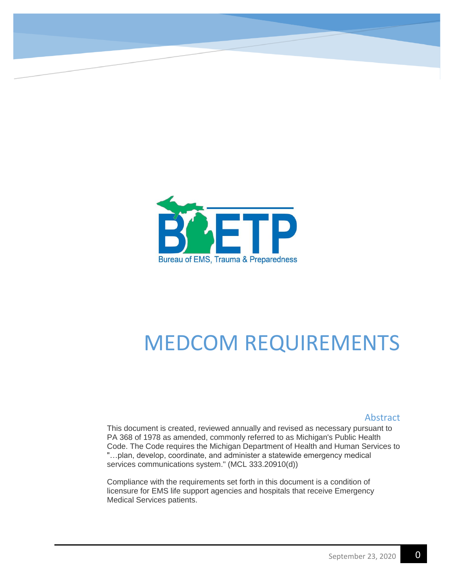

# MEDCOM REQUIREMENTS

#### Abstract

This document is created, reviewed annually and revised as necessary pursuant to PA 368 of 1978 as amended, commonly referred to as Michigan's Public Health Code. The Code requires the Michigan Department of Health and Human Services to "…plan, develop, coordinate, and administer a statewide emergency medical services communications system." (MCL 333.20910(d))

Compliance with the requirements set forth in this document is a condition of licensure for EMS life support agencies and hospitals that receive Emergency Medical Services patients.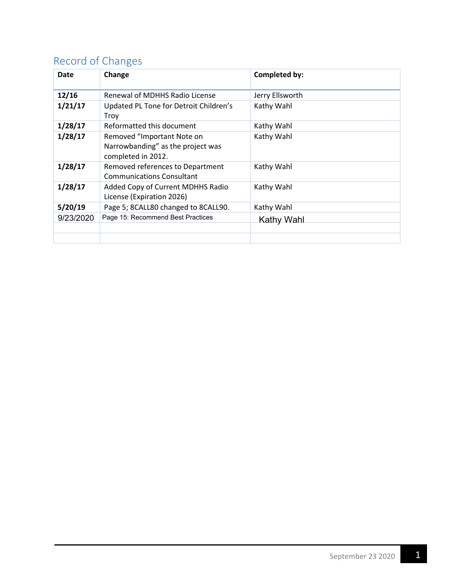# <span id="page-1-0"></span>Record of Changes

| Date      | Change                                                                                | Completed by:   |
|-----------|---------------------------------------------------------------------------------------|-----------------|
| 12/16     | Renewal of MDHHS Radio License                                                        | Jerry Ellsworth |
| 1/21/17   | Updated PL Tone for Detroit Children's<br>Troy                                        | Kathy Wahl      |
| 1/28/17   | Reformatted this document                                                             | Kathy Wahl      |
| 1/28/17   | Removed "Important Note on<br>Narrowbanding" as the project was<br>completed in 2012. | Kathy Wahl      |
| 1/28/17   | Removed references to Department<br><b>Communications Consultant</b>                  | Kathy Wahl      |
| 1/28/17   | Added Copy of Current MDHHS Radio<br>License (Expiration 2026)                        | Kathy Wahl      |
| 5/20/19   | Page 5; 8CALL80 changed to 8CALL90.                                                   | Kathy Wahl      |
| 9/23/2020 | Page 15: Recommend Best Practices                                                     | Kathy Wahl      |
|           |                                                                                       |                 |
|           |                                                                                       |                 |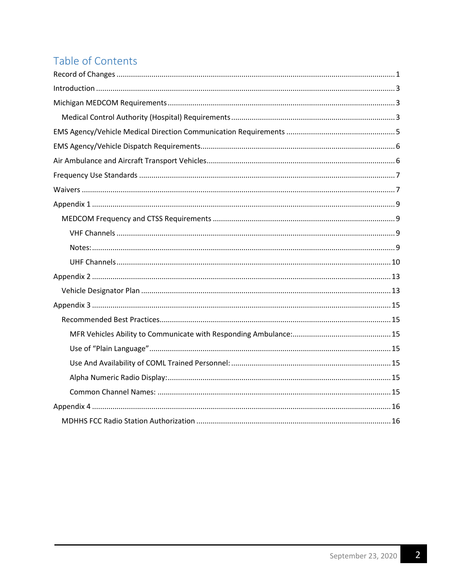# Table of Contents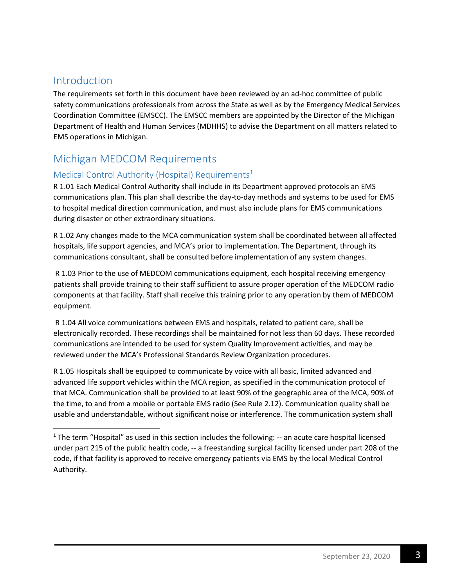### <span id="page-3-0"></span>Introduction

The requirements set forth in this document have been reviewed by an ad-hoc committee of public safety communications professionals from across the State as well as by the Emergency Medical Services Coordination Committee (EMSCC). The EMSCC members are appointed by the Director of the Michigan Department of Health and Human Services (MDHHS) to advise the Department on all matters related to EMS operations in Michigan.

### <span id="page-3-1"></span>Michigan MEDCOM Requirements

#### <span id="page-3-2"></span>Medical Control Authority (Hospital) Requirements<sup>1</sup>

R 1.01 Each Medical Control Authority shall include in its Department approved protocols an EMS communications plan. This plan shall describe the day-to-day methods and systems to be used for EMS to hospital medical direction communication, and must also include plans for EMS communications during disaster or other extraordinary situations.

R 1.02 Any changes made to the MCA communication system shall be coordinated between all affected hospitals, life support agencies, and MCA's prior to implementation. The Department, through its communications consultant, shall be consulted before implementation of any system changes.

R 1.03 Prior to the use of MEDCOM communications equipment, each hospital receiving emergency patients shall provide training to their staff sufficient to assure proper operation of the MEDCOM radio components at that facility. Staff shall receive this training prior to any operation by them of MEDCOM equipment.

R 1.04 All voice communications between EMS and hospitals, related to patient care, shall be electronically recorded. These recordings shall be maintained for not less than 60 days. These recorded communications are intended to be used for system Quality Improvement activities, and may be reviewed under the MCA's Professional Standards Review Organization procedures.

R 1.05 Hospitals shall be equipped to communicate by voice with all basic, limited advanced and advanced life support vehicles within the MCA region, as specified in the communication protocol of that MCA. Communication shall be provided to at least 90% of the geographic area of the MCA, 90% of the time, to and from a mobile or portable EMS radio (See Rule 2.12). Communication quality shall be usable and understandable, without significant noise or interference. The communication system shall

 $1$  The term "Hospital" as used in this section includes the following:  $-$  an acute care hospital licensed under part 215 of the public health code, -- a freestanding surgical facility licensed under part 208 of the code, if that facility is approved to receive emergency patients via EMS by the local Medical Control Authority.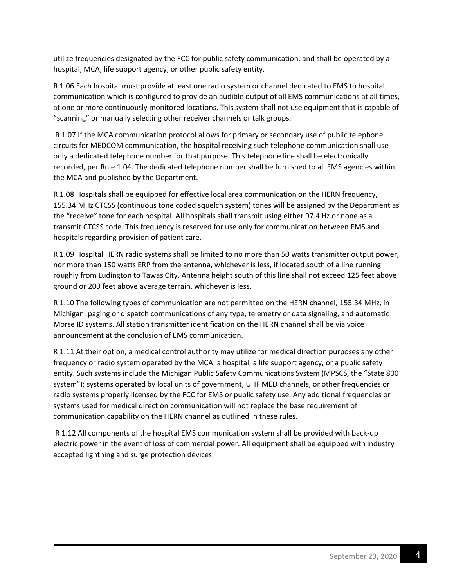utilize frequencies designated by the FCC for public safety communication, and shall be operated by a hospital, MCA, life support agency, or other public safety entity.

R 1.06 Each hospital must provide at least one radio system or channel dedicated to EMS to hospital communication which is configured to provide an audible output of all EMS communications at all times, at one or more continuously monitored locations. This system shall not use equipment that is capable of "scanning" or manually selecting other receiver channels or talk groups.

R 1.07 If the MCA communication protocol allows for primary or secondary use of public telephone circuits for MEDCOM communication, the hospital receiving such telephone communication shall use only a dedicated telephone number for that purpose. This telephone line shall be electronically recorded, per Rule 1.04. The dedicated telephone number shall be furnished to all EMS agencies within the MCA and published by the Department.

R 1.08 Hospitals shall be equipped for effective local area communication on the HERN frequency, 155.34 MHz CTCSS (continuous tone coded squelch system) tones will be assigned by the Department as the "receive" tone for each hospital. All hospitals shall transmit using either 97.4 Hz or none as a transmit CTCSS code. This frequency is reserved for use only for communication between EMS and hospitals regarding provision of patient care.

R 1.09 Hospital HERN radio systems shall be limited to no more than 50 watts transmitter output power, nor more than 150 watts ERP from the antenna, whichever is less, if located south of a line running roughly from Ludington to Tawas City. Antenna height south of this line shall not exceed 125 feet above ground or 200 feet above average terrain, whichever is less.

R 1.10 The following types of communication are not permitted on the HERN channel, 155.34 MHz, in Michigan: paging or dispatch communications of any type, telemetry or data signaling, and automatic Morse ID systems. All station transmitter identification on the HERN channel shall be via voice announcement at the conclusion of EMS communication.

R 1.11 At their option, a medical control authority may utilize for medical direction purposes any other frequency or radio system operated by the MCA, a hospital, a life support agency, or a public safety entity. Such systems include the Michigan Public Safety Communications System (MPSCS, the "State 800 system"); systems operated by local units of government, UHF MED channels, or other frequencies or radio systems properly licensed by the FCC for EMS or public safety use. Any additional frequencies or systems used for medical direction communication will not replace the base requirement of communication capability on the HERN channel as outlined in these rules.

R 1.12 All components of the hospital EMS communication system shall be provided with back-up electric power in the event of loss of commercial power. All equipment shall be equipped with industry accepted lightning and surge protection devices.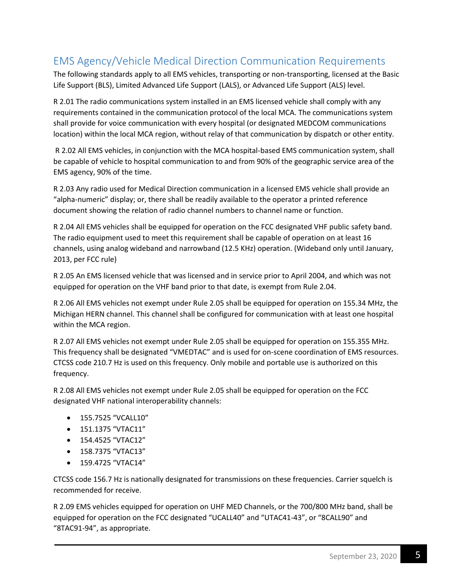# <span id="page-5-0"></span>EMS Agency/Vehicle Medical Direction Communication Requirements

The following standards apply to all EMS vehicles, transporting or non-transporting, licensed at the Basic Life Support (BLS), Limited Advanced Life Support (LALS), or Advanced Life Support (ALS) level.

R 2.01 The radio communications system installed in an EMS licensed vehicle shall comply with any requirements contained in the communication protocol of the local MCA. The communications system shall provide for voice communication with every hospital (or designated MEDCOM communications location) within the local MCA region, without relay of that communication by dispatch or other entity.

 R 2.02 All EMS vehicles, in conjunction with the MCA hospital-based EMS communication system, shall be capable of vehicle to hospital communication to and from 90% of the geographic service area of the EMS agency, 90% of the time.

R 2.03 Any radio used for Medical Direction communication in a licensed EMS vehicle shall provide an "alpha-numeric" display; or, there shall be readily available to the operator a printed reference document showing the relation of radio channel numbers to channel name or function.

R 2.04 All EMS vehicles shall be equipped for operation on the FCC designated VHF public safety band. The radio equipment used to meet this requirement shall be capable of operation on at least 16 channels, using analog wideband and narrowband (12.5 KHz) operation. (Wideband only until January, 2013, per FCC rule)

R 2.05 An EMS licensed vehicle that was licensed and in service prior to April 2004, and which was not equipped for operation on the VHF band prior to that date, is exempt from Rule 2.04.

R 2.06 All EMS vehicles not exempt under Rule 2.05 shall be equipped for operation on 155.34 MHz, the Michigan HERN channel. This channel shall be configured for communication with at least one hospital within the MCA region.

R 2.07 All EMS vehicles not exempt under Rule 2.05 shall be equipped for operation on 155.355 MHz. This frequency shall be designated "VMEDTAC" and is used for on-scene coordination of EMS resources. CTCSS code 210.7 Hz is used on this frequency. Only mobile and portable use is authorized on this frequency.

R 2.08 All EMS vehicles not exempt under Rule 2.05 shall be equipped for operation on the FCC designated VHF national interoperability channels:

- 155.7525 "VCALL10"
- 151.1375 "VTAC11"
- 154.4525 "VTAC12"
- 158.7375 "VTAC13"
- 159.4725 "VTAC14"

CTCSS code 156.7 Hz is nationally designated for transmissions on these frequencies. Carrier squelch is recommended for receive.

R 2.09 EMS vehicles equipped for operation on UHF MED Channels, or the 700/800 MHz band, shall be equipped for operation on the FCC designated "UCALL40" and "UTAC41-43", or "8CALL90" and "8TAC91-94", as appropriate.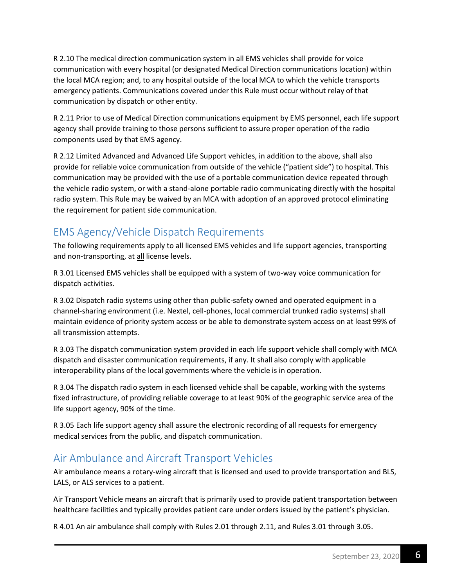R 2.10 The medical direction communication system in all EMS vehicles shall provide for voice communication with every hospital (or designated Medical Direction communications location) within the local MCA region; and, to any hospital outside of the local MCA to which the vehicle transports emergency patients. Communications covered under this Rule must occur without relay of that communication by dispatch or other entity.

R 2.11 Prior to use of Medical Direction communications equipment by EMS personnel, each life support agency shall provide training to those persons sufficient to assure proper operation of the radio components used by that EMS agency.

R 2.12 Limited Advanced and Advanced Life Support vehicles, in addition to the above, shall also provide for reliable voice communication from outside of the vehicle ("patient side") to hospital. This communication may be provided with the use of a portable communication device repeated through the vehicle radio system, or with a stand-alone portable radio communicating directly with the hospital radio system. This Rule may be waived by an MCA with adoption of an approved protocol eliminating the requirement for patient side communication.

# <span id="page-6-0"></span>EMS Agency/Vehicle Dispatch Requirements

The following requirements apply to all licensed EMS vehicles and life support agencies, transporting and non-transporting, at all license levels.

R 3.01 Licensed EMS vehicles shall be equipped with a system of two-way voice communication for dispatch activities.

R 3.02 Dispatch radio systems using other than public-safety owned and operated equipment in a channel-sharing environment (i.e. Nextel, cell-phones, local commercial trunked radio systems) shall maintain evidence of priority system access or be able to demonstrate system access on at least 99% of all transmission attempts.

R 3.03 The dispatch communication system provided in each life support vehicle shall comply with MCA dispatch and disaster communication requirements, if any. It shall also comply with applicable interoperability plans of the local governments where the vehicle is in operation.

R 3.04 The dispatch radio system in each licensed vehicle shall be capable, working with the systems fixed infrastructure, of providing reliable coverage to at least 90% of the geographic service area of the life support agency, 90% of the time.

R 3.05 Each life support agency shall assure the electronic recording of all requests for emergency medical services from the public, and dispatch communication.

# <span id="page-6-1"></span>Air Ambulance and Aircraft Transport Vehicles

Air ambulance means a rotary-wing aircraft that is licensed and used to provide transportation and BLS, LALS, or ALS services to a patient.

Air Transport Vehicle means an aircraft that is primarily used to provide patient transportation between healthcare facilities and typically provides patient care under orders issued by the patient's physician.

R 4.01 An air ambulance shall comply with Rules 2.01 through 2.11, and Rules 3.01 through 3.05.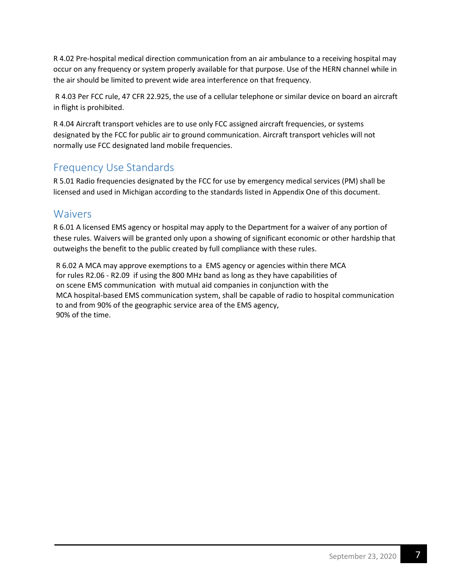R 4.02 Pre-hospital medical direction communication from an air ambulance to a receiving hospital may occur on any frequency or system properly available for that purpose. Use of the HERN channel while in the air should be limited to prevent wide area interference on that frequency.

R 4.03 Per FCC rule, 47 CFR 22.925, the use of a cellular telephone or similar device on board an aircraft in flight is prohibited.

R 4.04 Aircraft transport vehicles are to use only FCC assigned aircraft frequencies, or systems designated by the FCC for public air to ground communication. Aircraft transport vehicles will not normally use FCC designated land mobile frequencies.

# <span id="page-7-0"></span>Frequency Use Standards

R 5.01 Radio frequencies designated by the FCC for use by emergency medical services (PM) shall be licensed and used in Michigan according to the standards listed in Appendix One of this document.

### <span id="page-7-1"></span>Waivers

R 6.01 A licensed EMS agency or hospital may apply to the Department for a waiver of any portion of these rules. Waivers will be granted only upon a showing of significant economic or other hardship that outweighs the benefit to the public created by full compliance with these rules.

R 6.02 A MCA may approve exemptions to a EMS agency or agencies within there MCA for rules R2.06 - R2.09 if using the 800 MHz band as long as they have capabilities of on scene EMS communication with mutual aid companies in conjunction with the MCA hospital-based EMS communication system, shall be capable of radio to hospital communication to and from 90% of the geographic service area of the EMS agency, 90% of the time.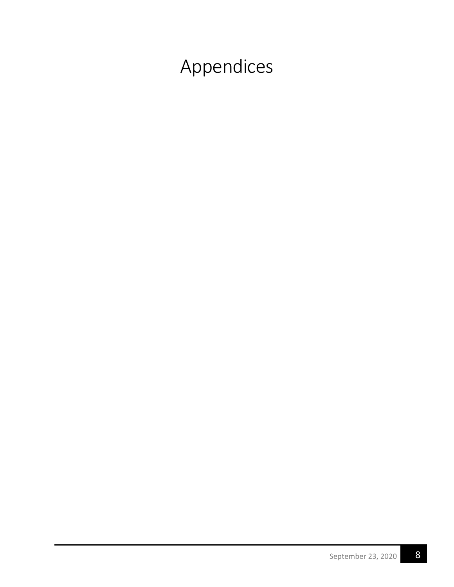Appendices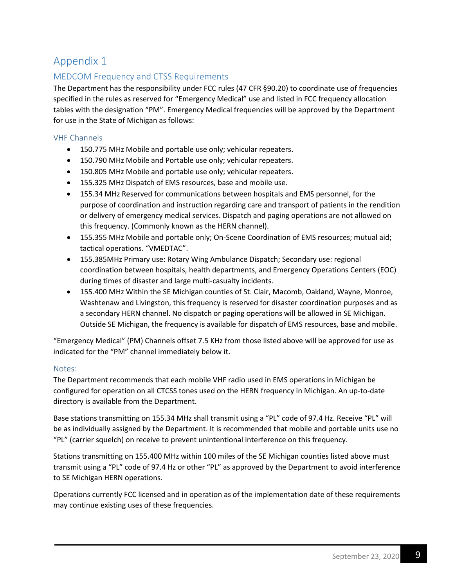#### <span id="page-9-1"></span><span id="page-9-0"></span>MEDCOM Frequency and CTSS Requirements

The Department has the responsibility under FCC rules (47 CFR §90.20) to coordinate use of frequencies specified in the rules as reserved for "Emergency Medical" use and listed in FCC frequency allocation tables with the designation "PM". Emergency Medical frequencies will be approved by the Department for use in the State of Michigan as follows:

#### <span id="page-9-2"></span>VHF Channels

- 150.775 MHz Mobile and portable use only; vehicular repeaters.
- 150.790 MHz Mobile and Portable use only; vehicular repeaters.
- 150.805 MHz Mobile and portable use only; vehicular repeaters.
- 155.325 MHz Dispatch of EMS resources, base and mobile use.
- 155.34 MHz Reserved for communications between hospitals and EMS personnel, for the purpose of coordination and instruction regarding care and transport of patients in the rendition or delivery of emergency medical services. Dispatch and paging operations are not allowed on this frequency. (Commonly known as the HERN channel).
- 155.355 MHz Mobile and portable only; On-Scene Coordination of EMS resources; mutual aid; tactical operations. "VMEDTAC".
- 155.385MHz Primary use: Rotary Wing Ambulance Dispatch; Secondary use: regional coordination between hospitals, health departments, and Emergency Operations Centers (EOC) during times of disaster and large multi-casualty incidents.
- 155.400 MHz Within the SE Michigan counties of St. Clair, Macomb, Oakland, Wayne, Monroe, Washtenaw and Livingston, this frequency is reserved for disaster coordination purposes and as a secondary HERN channel. No dispatch or paging operations will be allowed in SE Michigan. Outside SE Michigan, the frequency is available for dispatch of EMS resources, base and mobile.

"Emergency Medical" (PM) Channels offset 7.5 KHz from those listed above will be approved for use as indicated for the "PM" channel immediately below it.

#### <span id="page-9-3"></span>Notes:

The Department recommends that each mobile VHF radio used in EMS operations in Michigan be configured for operation on all CTCSS tones used on the HERN frequency in Michigan. An up-to-date directory is available from the Department.

Base stations transmitting on 155.34 MHz shall transmit using a "PL" code of 97.4 Hz. Receive "PL" will be as individually assigned by the Department. It is recommended that mobile and portable units use no "PL" (carrier squelch) on receive to prevent unintentional interference on this frequency.

Stations transmitting on 155.400 MHz within 100 miles of the SE Michigan counties listed above must transmit using a "PL" code of 97.4 Hz or other "PL" as approved by the Department to avoid interference to SE Michigan HERN operations.

Operations currently FCC licensed and in operation as of the implementation date of these requirements may continue existing uses of these frequencies.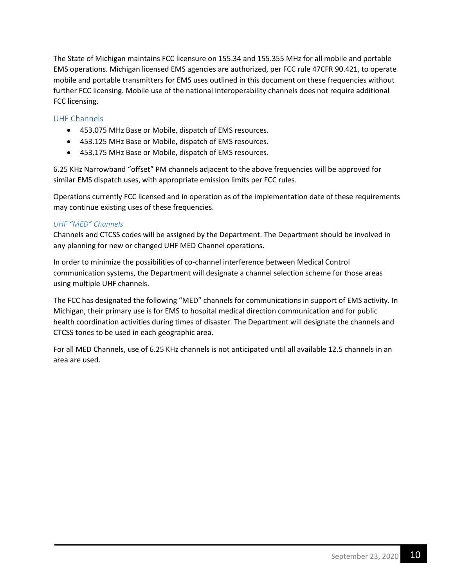The State of Michigan maintains FCC licensure on 155.34 and 155.355 MHz for all mobile and portable EMS operations. Michigan licensed EMS agencies are authorized, per FCC rule 47CFR 90.421, to operate mobile and portable transmitters for EMS uses outlined in this document on these frequencies without further FCC licensing. Mobile use of the national interoperability channels does not require additional FCC licensing.

#### <span id="page-10-0"></span>UHF Channels

- 453.075 MHz Base or Mobile, dispatch of EMS resources.
- 453.125 MHz Base or Mobile, dispatch of EMS resources.
- 453.175 MHz Base or Mobile, dispatch of EMS resources.

6.25 KHz Narrowband "offset" PM channels adjacent to the above frequencies will be approved for similar EMS dispatch uses, with appropriate emission limits per FCC rules.

Operations currently FCC licensed and in operation as of the implementation date of these requirements may continue existing uses of these frequencies.

#### *UHF "MED" Channels*

Channels and CTCSS codes will be assigned by the Department. The Department should be involved in any planning for new or changed UHF MED Channel operations.

In order to minimize the possibilities of co-channel interference between Medical Control communication systems, the Department will designate a channel selection scheme for those areas using multiple UHF channels.

The FCC has designated the following "MED" channels for communications in support of EMS activity. In Michigan, their primary use is for EMS to hospital medical direction communication and for public health coordination activities during times of disaster. The Department will designate the channels and CTCSS tones to be used in each geographic area.

For all MED Channels, use of 6.25 KHz channels is not anticipated until all available 12.5 channels in an area are used.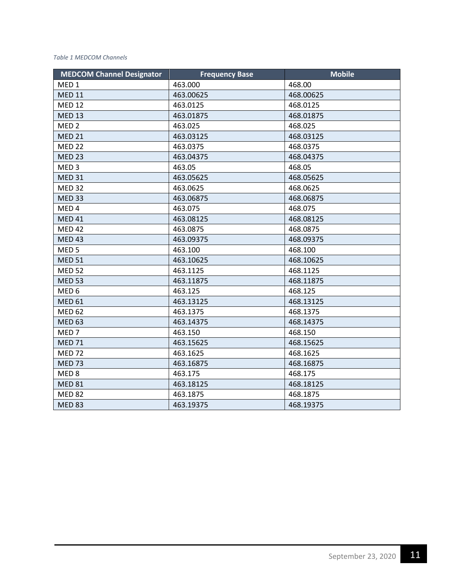#### *Table 1 MEDCOM Channels*

| <b>MEDCOM Channel Designator</b> | <b>Frequency Base</b> | <b>Mobile</b> |
|----------------------------------|-----------------------|---------------|
| MED <sub>1</sub>                 | 463.000               | 468.00        |
| <b>MED 11</b>                    | 463.00625             | 468.00625     |
| <b>MED 12</b>                    | 463.0125              | 468.0125      |
| <b>MED 13</b>                    | 463.01875             | 468.01875     |
| MED <sub>2</sub>                 | 463.025               | 468.025       |
| <b>MED 21</b>                    | 463.03125             | 468.03125     |
| <b>MED 22</b>                    | 463.0375              | 468.0375      |
| <b>MED 23</b>                    | 463.04375             | 468.04375     |
| MED <sub>3</sub>                 | 463.05                | 468.05        |
| <b>MED 31</b>                    | 463.05625             | 468.05625     |
| <b>MED 32</b>                    | 463.0625              | 468.0625      |
| <b>MED 33</b>                    | 463.06875             | 468.06875     |
| MED <sub>4</sub>                 | 463.075               | 468.075       |
| <b>MED 41</b>                    | 463.08125             | 468.08125     |
| <b>MED 42</b>                    | 463.0875              | 468.0875      |
| <b>MED 43</b>                    | 463.09375             | 468.09375     |
| MED <sub>5</sub>                 | 463.100               | 468.100       |
| <b>MED 51</b>                    | 463.10625             | 468.10625     |
| <b>MED 52</b>                    | 463.1125              | 468.1125      |
| <b>MED 53</b>                    | 463.11875             | 468.11875     |
| MED <sub>6</sub>                 | 463.125               | 468.125       |
| <b>MED 61</b>                    | 463.13125             | 468.13125     |
| <b>MED 62</b>                    | 463.1375              | 468.1375      |
| <b>MED 63</b>                    | 463.14375             | 468.14375     |
| MED <sub>7</sub>                 | 463.150               | 468.150       |
| <b>MED 71</b>                    | 463.15625             | 468.15625     |
| <b>MED 72</b>                    | 463.1625              | 468.1625      |
| <b>MED 73</b>                    | 463.16875             | 468.16875     |
| MED <sub>8</sub>                 | 463.175               | 468.175       |
| <b>MED 81</b>                    | 463.18125             | 468.18125     |
| <b>MED 82</b>                    | 463.1875              | 468.1875      |
| <b>MED 83</b>                    | 463.19375             | 468.19375     |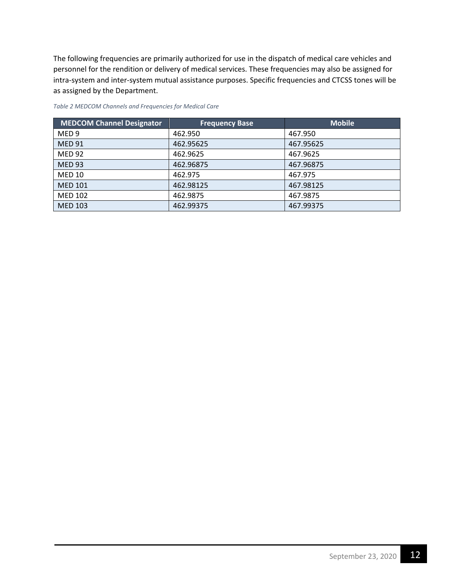The following frequencies are primarily authorized for use in the dispatch of medical care vehicles and personnel for the rendition or delivery of medical services. These frequencies may also be assigned for intra-system and inter-system mutual assistance purposes. Specific frequencies and CTCSS tones will be as assigned by the Department.

| MEDCOM Channel Designator | <b>Frequency Base</b> | <b>Mobile</b> |
|---------------------------|-----------------------|---------------|
| MED <sub>9</sub>          | 462.950               | 467.950       |
| <b>MED 91</b>             | 462.95625             | 467.95625     |
| <b>MED 92</b>             | 462.9625              | 467.9625      |
| <b>MED 93</b>             | 462.96875             | 467.96875     |
| <b>MED 10</b>             | 462.975               | 467.975       |
| <b>MED 101</b>            | 462.98125             | 467.98125     |
| <b>MED 102</b>            | 462.9875              | 467.9875      |
| <b>MED 103</b>            | 462.99375             | 467.99375     |

*Table 2 MEDCOM Channels and Frequencies for Medical Care*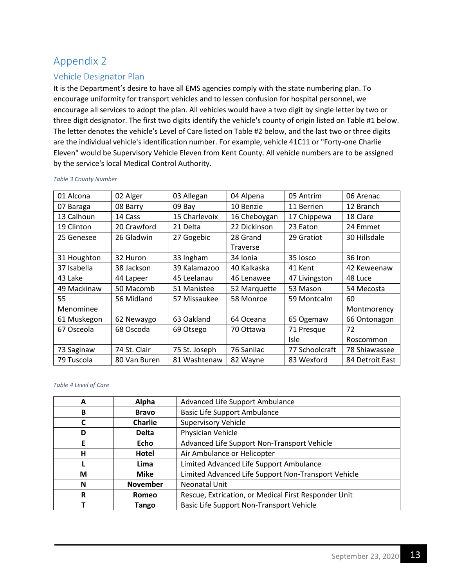#### <span id="page-13-1"></span><span id="page-13-0"></span>Vehicle Designator Plan

It is the Department's desire to have all EMS agencies comply with the state numbering plan. To encourage uniformity for transport vehicles and to lessen confusion for hospital personnel, we encourage all services to adopt the plan. All vehicles would have a two digit by single letter by two or three digit designator. The first two digits identify the vehicle's county of origin listed on Table #1 below. The letter denotes the vehicle's Level of Care listed on Table #2 below, and the last two or three digits are the individual vehicle's identification number. For example, vehicle 41C11 or "Forty-one Charlie Eleven" would be Supervisory Vehicle Eleven from Kent County. All vehicle numbers are to be assigned by the service's local Medical Control Authority.

| 01 Alcona   | 02 Alger     | 03 Allegan    | 04 Alpena    | 05 Antrim      | 06 Arenac       |  |
|-------------|--------------|---------------|--------------|----------------|-----------------|--|
| 07 Baraga   | 08 Barry     | 09 Bay        | 10 Benzie    | 11 Berrien     | 12 Branch       |  |
| 13 Calhoun  | 14 Cass      | 15 Charlevoix | 16 Cheboygan | 17 Chippewa    | 18 Clare        |  |
| 19 Clinton  | 20 Crawford  | 21 Delta      | 22 Dickinson | 23 Eaton       | 24 Emmet        |  |
| 25 Genesee  | 26 Gladwin   | 27 Gogebic    | 28 Grand     | 29 Gratiot     | 30 Hillsdale    |  |
|             |              |               | Traverse     |                |                 |  |
| 31 Houghton | 32 Huron     | 33 Ingham     | 34 Ionia     | 35 losco       | 36 Iron         |  |
| 37 Isabella | 38 Jackson   | 39 Kalamazoo  | 40 Kalkaska  | 41 Kent        | 42 Keweenaw     |  |
| 43 Lake     | 44 Lapeer    | 45 Leelanau   | 46 Lenawee   | 47 Livingston  | 48 Luce         |  |
| 49 Mackinaw | 50 Macomb    | 51 Manistee   | 52 Marquette | 53 Mason       | 54 Mecosta      |  |
| 55          | 56 Midland   | 57 Missaukee  | 58 Monroe    | 59 Montcalm    |                 |  |
| Menominee   |              |               |              |                | Montmorency     |  |
| 61 Muskegon | 62 Newaygo   | 63 Oakland    | 64 Oceana    | 65 Ogemaw      | 66 Ontonagon    |  |
| 67 Osceola  | 68 Oscoda    | 69 Otsego     | 70 Ottawa    | 71 Presque     | 72              |  |
|             |              |               |              | <b>Isle</b>    | Roscommon       |  |
| 73 Saginaw  | 74 St. Clair | 75 St. Joseph | 76 Sanilac   | 77 Schoolcraft | 78 Shiawassee   |  |
| 79 Tuscola  | 80 Van Buren | 81 Washtenaw  | 82 Wayne     | 83 Wexford     | 84 Detroit East |  |

*Table 3 County Number*

#### *Table 4 Level of Care*

| A | Alpha           | Advanced Life Support Ambulance                      |
|---|-----------------|------------------------------------------------------|
| B | <b>Bravo</b>    | <b>Basic Life Support Ambulance</b>                  |
| C | <b>Charlie</b>  | <b>Supervisory Vehicle</b>                           |
| D | <b>Delta</b>    | Physician Vehicle                                    |
| E | Echo            | Advanced Life Support Non-Transport Vehicle          |
| н | Hotel           | Air Ambulance or Helicopter                          |
|   | Lima            | Limited Advanced Life Support Ambulance              |
| М | Mike            | Limited Advanced Life Support Non-Transport Vehicle  |
| N | <b>November</b> | Neonatal Unit                                        |
| R | <b>Romeo</b>    | Rescue, Extrication, or Medical First Responder Unit |
|   | Tango           | Basic Life Support Non-Transport Vehicle             |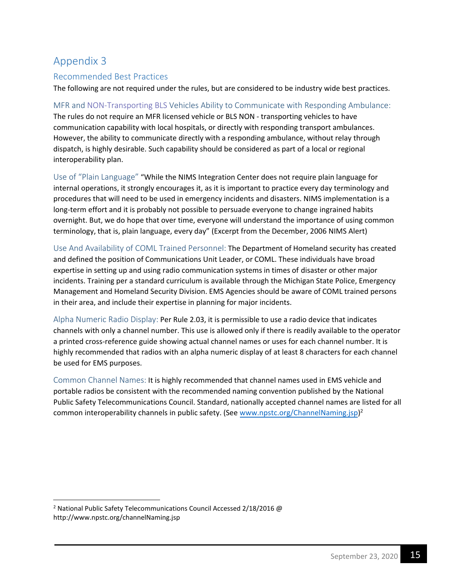#### <span id="page-15-1"></span><span id="page-15-0"></span>Recommended Best Practices

The following are not required under the rules, but are considered to be industry wide best practices.

<span id="page-15-2"></span>MFR and NON-Transporting BLS Vehicles Ability to Communicate with Responding Ambulance: The rules do not require an MFR licensed vehicle or BLS NON - transporting vehicles to have communication capability with local hospitals, or directly with responding transport ambulances. However, the ability to communicate directly with a responding ambulance, without relay through dispatch, is highly desirable. Such capability should be considered as part of a local or regional interoperability plan.

<span id="page-15-3"></span>Use of "Plain Language" "While the NIMS Integration Center does not require plain language for internal operations, it strongly encourages it, as it is important to practice every day terminology and procedures that will need to be used in emergency incidents and disasters. NIMS implementation is a long-term effort and it is probably not possible to persuade everyone to change ingrained habits overnight. But, we do hope that over time, everyone will understand the importance of using common terminology, that is, plain language, every day" (Excerpt from the December, 2006 NIMS Alert)

<span id="page-15-4"></span>Use And Availability of COML Trained Personnel: The Department of Homeland security has created and defined the position of Communications Unit Leader, or COML. These individuals have broad expertise in setting up and using radio communication systems in times of disaster or other major incidents. Training per a standard curriculum is available through the Michigan State Police, Emergency Management and Homeland Security Division. EMS Agencies should be aware of COML trained persons in their area, and include their expertise in planning for major incidents.

<span id="page-15-5"></span>Alpha Numeric Radio Display: Per Rule 2.03, it is permissible to use a radio device that indicates channels with only a channel number. This use is allowed only if there is readily available to the operator a printed cross-reference guide showing actual channel names or uses for each channel number. It is highly recommended that radios with an alpha numeric display of at least 8 characters for each channel be used for EMS purposes.

<span id="page-15-6"></span>Common Channel Names: It is highly recommended that channel names used in EMS vehicle and portable radios be consistent with the recommended naming convention published by the National Public Safety Telecommunications Council. Standard, nati[onally accepted channel names are lis](http://www.npstc.org/ChannelNaming.jsp)ted for all common interoperability channels in public safety. (See www.npstc.org/ChannelNaming.jsp)<sup>2</sup>

<sup>&</sup>lt;sup>2</sup> National Public Safety Telecommunications Council Accessed 2/18/2016 @ http://www.npstc.org/channelNaming.jsp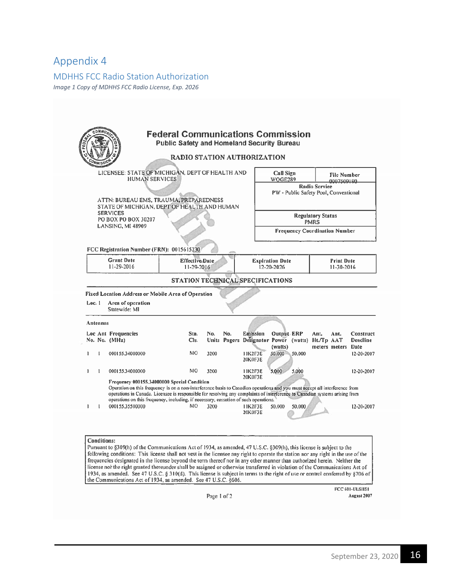#### <span id="page-16-1"></span><span id="page-16-0"></span>MDHHS FCC Radio Station Authorization

*Image 1 Copy of MDHHS FCC Radio License, Exp. 2026*

|          |                   | LICENSEE: STATE OF MICHIGAN, DEPT OF HEALTH AND<br><b>HUMAN SERVICES</b>                                                                                                                                                                                                                                                                                                                                                                |                                       |              |     |                                                 | Call Sign<br>WOGE289                 |                 | <b>File Number</b><br>0007509190                                                       |                                                                        |
|----------|-------------------|-----------------------------------------------------------------------------------------------------------------------------------------------------------------------------------------------------------------------------------------------------------------------------------------------------------------------------------------------------------------------------------------------------------------------------------------|---------------------------------------|--------------|-----|-------------------------------------------------|--------------------------------------|-----------------|----------------------------------------------------------------------------------------|------------------------------------------------------------------------|
|          |                   | ATTN: BUREAU EMS, TRAUMA, PREPAREDNESS                                                                                                                                                                                                                                                                                                                                                                                                  |                                       |              |     |                                                 |                                      |                 | <b>Radio Service</b><br>PW - Public Safety Pool, Conventional                          |                                                                        |
|          |                   | STATE OF MICHIGAN, DEPT OF HEALTH AND HUMAN<br><b>SERVICES</b><br>PO BOX PO BOX 30207                                                                                                                                                                                                                                                                                                                                                   |                                       |              |     |                                                 |                                      |                 | <b>Regulatory Status</b><br><b>PMRS</b>                                                |                                                                        |
|          |                   | LANSING, MI 48909                                                                                                                                                                                                                                                                                                                                                                                                                       |                                       |              |     |                                                 |                                      |                 | <b>Frequency Coordination Number</b>                                                   |                                                                        |
|          |                   | FCC Registration Number (FRN): 0015615230                                                                                                                                                                                                                                                                                                                                                                                               |                                       |              |     |                                                 |                                      |                 |                                                                                        |                                                                        |
|          |                   | <b>Grant Date</b><br>11-29-2016                                                                                                                                                                                                                                                                                                                                                                                                         | <b>Effective</b> , Date<br>11-29-2016 |              |     |                                                 | <b>Expiration Date</b><br>12-20-2026 |                 | <b>Print Date</b><br>11-30-2016                                                        |                                                                        |
|          |                   |                                                                                                                                                                                                                                                                                                                                                                                                                                         | STATION TECHNICAL SPECIFICATIONS      |              |     |                                                 |                                      |                 |                                                                                        |                                                                        |
| Loc. 1   |                   | Area of operation<br>Statewide: MI                                                                                                                                                                                                                                                                                                                                                                                                      |                                       |              |     |                                                 |                                      |                 |                                                                                        |                                                                        |
| Antennas |                   |                                                                                                                                                                                                                                                                                                                                                                                                                                         |                                       |              |     |                                                 |                                      |                 |                                                                                        |                                                                        |
|          |                   | Loc Ant Frequencies<br>No. No. (MHz)                                                                                                                                                                                                                                                                                                                                                                                                    | Sta.<br>Cls.                          | No.          | No. | Emission                                        | Output-ERP                           |                 | Ant.<br>Ant.<br>Units Pagers Designator Power (watts) Ht./Tp AAT<br>meters meters Date |                                                                        |
| 1        | 1                 | 000155.34000000                                                                                                                                                                                                                                                                                                                                                                                                                         | MO                                    | 3200         |     | 11K2F3E<br><b>20K0F3E</b>                       | (watts)<br>50.000 50.000             |                 |                                                                                        |                                                                        |
| ı<br>ı   | $\mathbf{1}$<br>1 | 000155.34000000<br>Frequency 000155.34000000 Special Condition<br>Operation on this frequency is on a non-interference basis to Canadian operations and you must accept all interference from<br>operations in Canada. Licensee is responsible for resolving any complaints of interference to Canadian systems arising from<br>operations on this frequency, including, if necessary, cessation of such operations.<br>000155.35500000 | MO<br>MO.                             | 3200<br>3200 |     | 11K2F3E<br>20K0F3E<br><b>11K2F3E</b><br>20K0F3E | 5,000<br>50.000                      | 5,000<br>50,000 |                                                                                        | Construct<br><b>Deadline</b><br>12-20-2007<br>12-20-2007<br>12-20-2007 |

Page 1 of 2